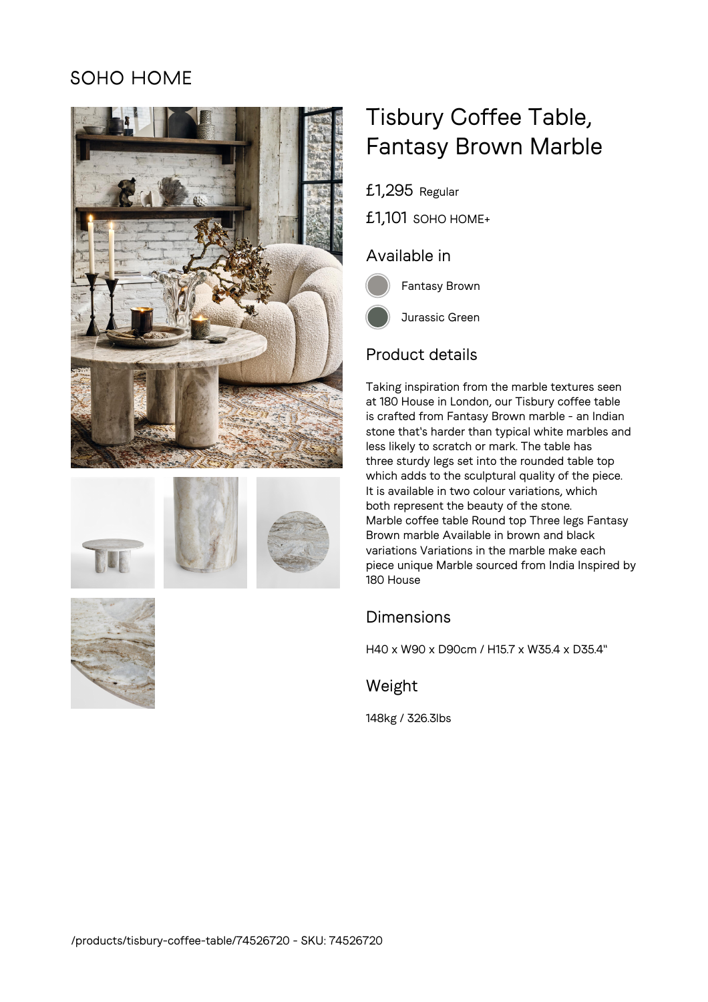# **SOHO HOME**









# Tisbury Coffee Table, Fantasy Brown Marble

£1,295 Regular

£1,101 SOHO HOME+

### Available in



Fantasy Brown

# Product details

Taking inspiration from the marble textures seen at 180 House in London, our Tisbury coffee table is crafted from Fantasy Brown marble - an Indian stone that's harder than typical white marbles and less likely to scratch or mark. The table has three sturdy legs set into the rounded table top which adds to the sculptural quality of the piece. It is available in two colour variations, which both represent the beauty of the stone. Marble coffee table Round top Three legs Fantasy Brown marble Available in brown and black variations Variations in the marble make each piece unique Marble sourced from India Inspired by 180 House

### **Dimensions**

H40 x W90 x D90cm / H15.7 x W35.4 x D35.4"

### Weight

148kg / 326.3lbs